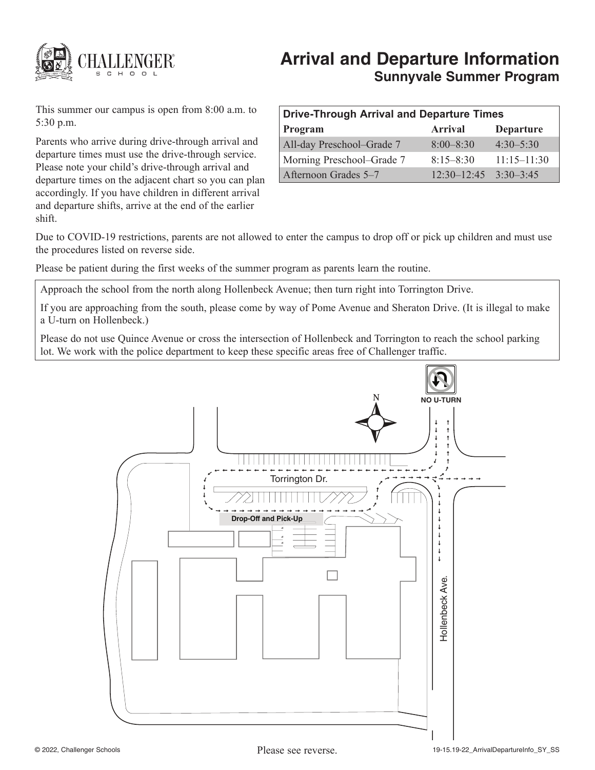

# **Arrival and Departure Information Sunnyvale Summer Program**

This summer our campus is open from 8:00 a.m. to 5:30 p.m.

Parents who arrive during drive-through arrival and departure times must use the drive-through service. Please note your child's drive-through arrival and departure times on the adjacent chart so you can plan accordingly. If you have children in different arrival and departure shifts, arrive at the end of the earlier shift.

| Drive-Through Arrival and Departure Times |                               |                  |
|-------------------------------------------|-------------------------------|------------------|
| Program                                   | <b>Arrival</b>                | <b>Departure</b> |
| All-day Preschool-Grade 7                 | $8:00 - 8:30$                 | $4:30 - 5:30$    |
| Morning Preschool–Grade 7                 | $8:15 - 8:30$                 | $11:15 - 11:30$  |
| Afternoon Grades 5–7                      | $12.30 - 12.45$ $3.30 - 3.45$ |                  |

Due to COVID-19 restrictions, parents are not allowed to enter the campus to drop off or pick up children and must use the procedures listed on reverse side.

Please be patient during the first weeks of the summer program as parents learn the routine.

Approach the school from the north along Hollenbeck Avenue; then turn right into Torrington Drive.

If you are approaching from the south, please come by way of Pome Avenue and Sheraton Drive. (It is illegal to make a U-turn on Hollenbeck.)

Please do not use Quince Avenue or cross the intersection of Hollenbeck and Torrington to reach the school parking lot. We work with the police department to keep these specific areas free of Challenger traffic.